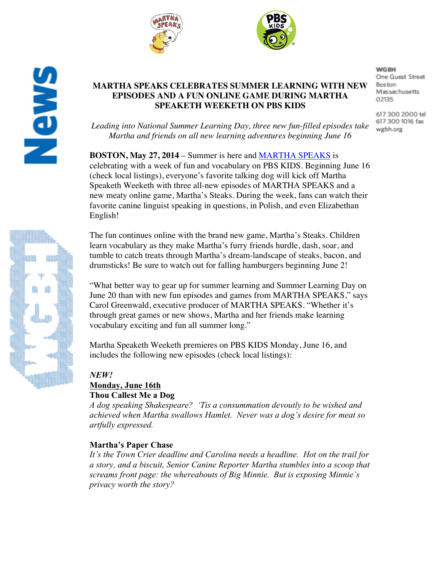



# **MARTHA SPEAKS CELEBRATES SUMMER LEARNING WITH NEW EPISODES AND A FUN ONLINE GAME DURING MARTHA SPEAKETH WEEKETH ON PBS KIDS**

*Leading into National Summer Learning Day, three new fun-filled episodes take Martha and friends on all new learning adventures beginning June 16*

**BOSTON, May 27, 2014** – Summer is here and MARTHA SPEAKS is celebrating with a week of fun and vocabulary on PBS KIDS. Beginning June 16 (check local listings), everyone's favorite talking dog will kick off Martha Speaketh Weeketh with three all-new episodes of MARTHA SPEAKS and a new meaty online game, Martha's Steaks. During the week, fans can watch their favorite canine linguist speaking in questions, in Polish, and even Elizabethan English!

The fun continues online with the brand new game, Martha's Steaks. Children learn vocabulary as they make Martha's furry friends hurdle, dash, soar, and tumble to catch treats through Martha's dream-landscape of steaks, bacon, and drumsticks! Be sure to watch out for falling hamburgers beginning June 2!

"What better way to gear up for summer learning and Summer Learning Day on June 20 than with new fun episodes and games from MARTHA SPEAKS," says Carol Greenwald, executive producer of MARTHA SPEAKS. "Whether it's through great games or new shows, Martha and her friends make learning vocabulary exciting and fun all summer long."

Martha Speaketh Weeketh premieres on PBS KIDS Monday, June 16, and includes the following new episodes (check local listings):

# *NEW!* **Monday, June 16th Thou Callest Me a Dog**

*A dog speaking Shakespeare? 'Tis a consummation devoutly to be wished and achieved when Martha swallows Hamlet. Never was a dog's desire for meat so artfully expressed.* 

# **Martha's Paper Chase**

*It's the Town Crier deadline and Carolina needs a headline. Hot on the trail for a story, and a biscuit, Senior Canine Reporter Martha stumbles into a scoop that screams front page: the whereabouts of Big Minnie. But is exposing Minnie's privacy worth the story?*

**WGBH** One Guest Street **Boston** Massachusetts 02135

617 300 2000 tel 617 300 1016 fax wgbh.org

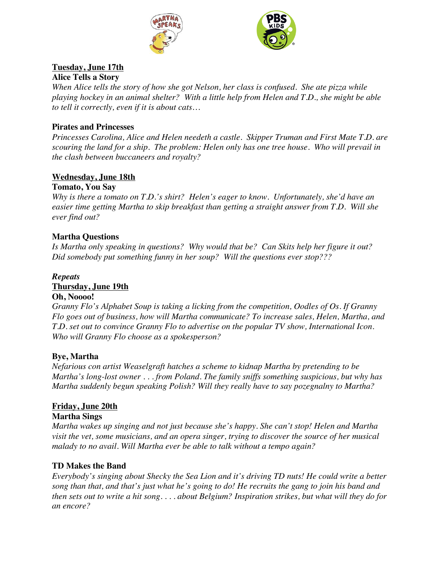



### **Tuesday, June 17th Alice Tells a Story**

*When Alice tells the story of how she got Nelson, her class is confused. She ate pizza while playing hockey in an animal shelter? With a little help from Helen and T.D., she might be able to tell it correctly, even if it is about cats…*

### **Pirates and Princesses**

*Princesses Carolina, Alice and Helen needeth a castle. Skipper Truman and First Mate T.D. are scouring the land for a ship. The problem: Helen only has one tree house. Who will prevail in the clash between buccaneers and royalty?*

# **Wednesday, June 18th**

### **Tomato, You Say**

*Why is there a tomato on T.D.'s shirt? Helen's eager to know. Unfortunately, she'd have an easier time getting Martha to skip breakfast than getting a straight answer from T.D. Will she ever find out?* 

### **Martha Questions**

*Is Martha only speaking in questions? Why would that be? Can Skits help her figure it out? Did somebody put something funny in her soup? Will the questions ever stop???*

#### *Repeats* **Thursday, June 19th Oh, Noooo!**

*Granny Flo's Alphabet Soup is taking a licking from the competition, Oodles of Os. If Granny Flo goes out of business, how will Martha communicate? To increase sales, Helen, Martha, and T.D. set out to convince Granny Flo to advertise on the popular TV show, International Icon. Who will Granny Flo choose as a spokesperson?*

# **Bye, Martha**

*Nefarious con artist Weaselgraft hatches a scheme to kidnap Martha by pretending to be Martha's long-lost owner . . . from Poland. The family sniffs something suspicious, but why has Martha suddenly begun speaking Polish? Will they really have to say pozegnalny to Martha?*

# **Friday, June 20th**

### **Martha Sings**

*Martha wakes up singing and not just because she's happy. She can't stop! Helen and Martha visit the vet, some musicians, and an opera singer, trying to discover the source of her musical malady to no avail. Will Martha ever be able to talk without a tempo again?*

### **TD Makes the Band**

*Everybody's singing about Shecky the Sea Lion and it's driving TD nuts! He could write a better song than that, and that's just what he's going to do! He recruits the gang to join his band and then sets out to write a hit song. . . . about Belgium? Inspiration strikes, but what will they do for an encore?*